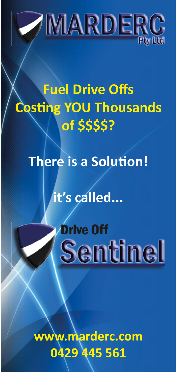

# **Fuel Drive Offs Costing YOU Thousands** of \$\$\$\$?

## **There is a Solution!**

it's called...

# **Drive Off Sentinel**

ww.marderc.com 0429 445 561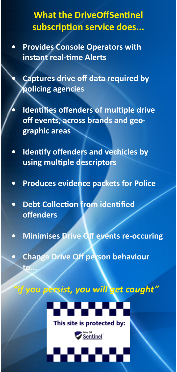## **What the DriveOffSentinel subscripƟ on service does...**

**• Provides Console Operators with instant real-Ɵ me Alerts**

**• Captures drive off data required by policing agencies**

- **Health Exercise of fenders of multiple drive off events, across brands and geographic areas**
- **Health is all obtains in the right figures in the line of the line of the line of the line of the line of the line of the line of the line of the line of the line of the line of the line of the line of the line of the lin using multiple descriptors**
- **Produces evidence packets for Police**
- **Debt CollecƟ on from idenƟfi ed off enders**

**to...**

- **Minimises Drive Off events re-occuring**
- **Change Drive Off person behaviour**

*"if you persist, you will get caught"*



This site is protected by:

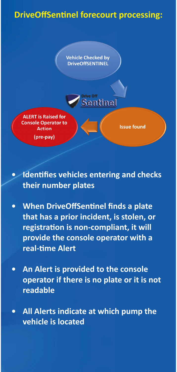### **DriveOffSentinel forecourt processing:**

**Vehicle Checked by DriveOffSENTINEL** 

**Drive Off** 

entinel

**Issue found** 



**Identifies vehicles entering and checks their number plates**

- **When DriveOffSentinel finds a plate that has a prior incident, is stolen, or registraƟ on is non-compliant, it will provide the console operator with a real-Ɵ me Alert**
- **An Alert is provided to the console operator if there is no plate or it is not readable**
- **All Alerts indicate at which pump the vehicle is located**